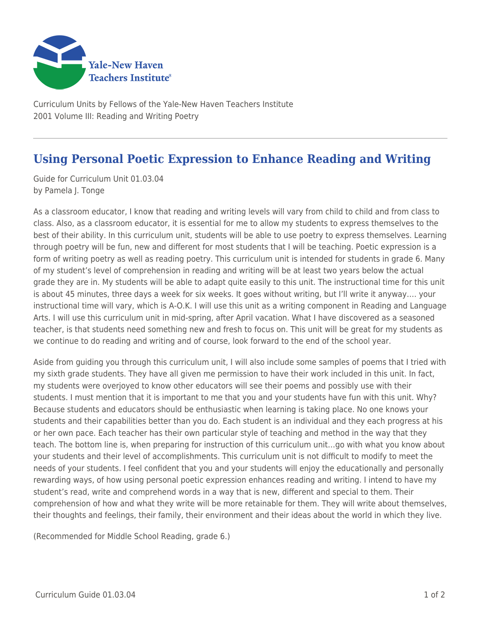

Curriculum Units by Fellows of the Yale-New Haven Teachers Institute 2001 Volume III: Reading and Writing Poetry

## **Using Personal Poetic Expression to Enhance Reading and Writing**

Guide for Curriculum Unit 01.03.04 by Pamela J. Tonge

As a classroom educator, I know that reading and writing levels will vary from child to child and from class to class. Also, as a classroom educator, it is essential for me to allow my students to express themselves to the best of their ability. In this curriculum unit, students will be able to use poetry to express themselves. Learning through poetry will be fun, new and different for most students that I will be teaching. Poetic expression is a form of writing poetry as well as reading poetry. This curriculum unit is intended for students in grade 6. Many of my student's level of comprehension in reading and writing will be at least two years below the actual grade they are in. My students will be able to adapt quite easily to this unit. The instructional time for this unit is about 45 minutes, three days a week for six weeks. It goes without writing, but I'll write it anyway…. your instructional time will vary, which is A-O.K. I will use this unit as a writing component in Reading and Language Arts. I will use this curriculum unit in mid-spring, after April vacation. What I have discovered as a seasoned teacher, is that students need something new and fresh to focus on. This unit will be great for my students as we continue to do reading and writing and of course, look forward to the end of the school year.

Aside from guiding you through this curriculum unit, I will also include some samples of poems that I tried with my sixth grade students. They have all given me permission to have their work included in this unit. In fact, my students were overjoyed to know other educators will see their poems and possibly use with their students. I must mention that it is important to me that you and your students have fun with this unit. Why? Because students and educators should be enthusiastic when learning is taking place. No one knows your students and their capabilities better than you do. Each student is an individual and they each progress at his or her own pace. Each teacher has their own particular style of teaching and method in the way that they teach. The bottom line is, when preparing for instruction of this curriculum unit…go with what you know about your students and their level of accomplishments. This curriculum unit is not difficult to modify to meet the needs of your students. I feel confident that you and your students will enjoy the educationally and personally rewarding ways, of how using personal poetic expression enhances reading and writing. I intend to have my student's read, write and comprehend words in a way that is new, different and special to them. Their comprehension of how and what they write will be more retainable for them. They will write about themselves, their thoughts and feelings, their family, their environment and their ideas about the world in which they live.

(Recommended for Middle School Reading, grade 6.)